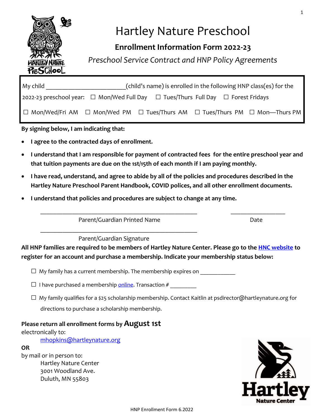

# Hartley Nature Preschool

# **Enrollment Information Form 2022-23**

*Preschool Service Contract and HNP Policy Agreements*

| $Mv$ child                                                                                                                 | (child's name) is enrolled in the following HNP class(es) for the |  |  |  |  |  |  |
|----------------------------------------------------------------------------------------------------------------------------|-------------------------------------------------------------------|--|--|--|--|--|--|
| 2022-23 preschool year: $\Box$ Mon/Wed Full Day $\Box$ Tues/Thurs Full Day $\Box$ Forest Fridays                           |                                                                   |  |  |  |  |  |  |
| $\mid \Box$ Mon/Wed/Fri AM $\;\;\Box$ Mon/Wed PM $\;\;\Box$ Tues/Thurs AM $\;\;\Box$ Tues/Thurs PM $\;\;\Box$ Mon—Thurs PM |                                                                   |  |  |  |  |  |  |

**By signing below, I am indicating that:**

- **I agree to the contracted days of enrollment.**
- **I understand that I am responsible for payment of contracted fees for the entire preschool year and that tuition payments are due on the 1st/15th of each month if I am paying monthly.**
- **I have read, understand, and agree to abide by all of the policies and procedures described in the Hartley Nature Preschool Parent Handbook, COVID polices, and all other enrollment documents.**
- **I understand that policies and procedures are subject to change at any time.**

Parent/Guardian Printed Name Date \_\_\_\_\_\_\_\_\_\_\_\_\_\_\_\_\_\_\_\_\_\_\_\_\_\_\_\_\_\_\_\_\_\_\_\_\_\_\_\_\_\_\_\_\_\_\_\_\_

Parent/Guardian Signature

**All HNP families are required to be members of Hartley Nature Center. Please go to the [HNC website](https://hartleynature.org/support-hartley/membership/) to register for an account and purchase a membership. Indicate your membership status below:**

\_\_\_\_\_\_\_\_\_\_\_\_\_\_\_\_\_\_\_\_\_\_\_\_\_\_\_\_\_\_\_\_\_\_\_\_\_\_\_\_\_\_\_\_\_\_\_\_\_ \_\_\_\_\_\_\_\_\_\_\_\_\_\_\_\_\_

 $\Box$  My family has a current membership. The membership expires on

- $\square$  I have purchased a membership [online.](https://hartleynature.org/support-hartley/membership/) Transaction #
- $\Box$  My family qualifies for a \$25 scholarship membership. Contact Kaitlin at psdirector@hartleynature.org for directions to purchase a scholarship membership.

### **Please return all enrollment forms by August 1st**

electronically to:

[mhopkins@hartleynature.org](mailto:mhopkins@hartleynature.org)

**OR**

by mail or in person to: Hartley Nature Center 3001 Woodland Ave. Duluth, MN 55803



1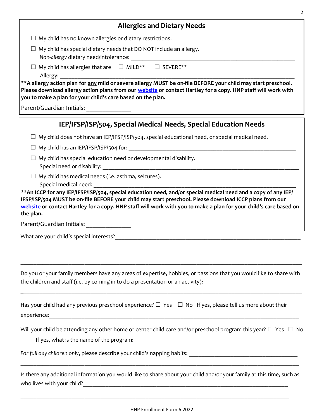#### **Allergies and Dietary Needs**

 $\Box$  My child has no known allergies or dietary restrictions.

 $\Box$  My child has special dietary needs that DO NOT include an allergy.

*Non-allergy dietary need/intolerance:* 

□ My child has allergies that are □ MILD\*\* □ SEVERE\*\* Allergy: \_\_\_\_\_\_\_\_\_\_\_\_\_\_\_\_\_\_\_\_\_\_\_\_\_\_\_\_\_\_\_\_\_\_\_\_\_\_\_\_\_\_\_\_\_\_\_\_\_\_\_\_\_\_\_\_\_\_\_\_\_\_\_\_\_\_\_\_\_\_\_\_\_\_\_\_\_\_\_\_

**\*\*A allergy action plan for any mild or severe allergy MUST be on-file BEFORE your child may start preschool. Please download allergy action plans from our [website](https://hartleynature.org/hartley-nature-preschool/preschool-forms/) or contact Hartley for a copy. HNP staff will work with you to make a plan for your child's care based on the plan.**

Parent/Guardian Initials:

## **IEP/IFSP/ISP/504, Special Medical Needs, Special Education Needs**

 $\Box$  My child does not have an IEP/IFSP/ISP/504, special educational need, or special medical need.

 $\square$  My child has an IEP/IFSP/ISP/504 for:

- $\Box$  My child has special education need or developmental disability. Special need or disability: \_\_\_\_\_\_\_\_\_\_\_\_\_\_\_\_\_\_\_\_\_\_\_\_\_\_\_\_\_\_\_\_\_\_\_\_\_\_\_\_\_\_\_\_\_\_\_\_\_\_\_\_\_\_\_\_\_\_\_\_\_\_\_\_\_\_\_
- $\Box$  My child has medical needs (i.e. asthma, seizures). Special medical need:

**\*\*An ICCP for any IEP/IFSP/ISP/504, special education need, and/or special medical need and a copy of any IEP/ IFSP/ISP/504 MUST be on-file BEFORE your child may start preschool. Please download ICCP plans from our [website](https://hartleynature.org/hartley-nature-preschool/preschool-forms/) or contact Hartley for a copy. HNP staff will work with you to make a plan for your child's care based on the plan.**

Parent/Guardian Initials: \_\_\_\_\_\_\_\_\_\_\_\_\_\_

What are your child's special interests?

Do you or your family members have any areas of expertise, hobbies, or passions that you would like to share with the children and staff (i.e. by coming in to do a presentation or an activity)?

\_\_\_\_\_\_\_\_\_\_\_\_\_\_\_\_\_\_\_\_\_\_\_\_\_\_\_\_\_\_\_\_\_\_\_\_\_\_\_\_\_\_\_\_\_\_\_\_\_\_\_\_\_\_\_\_\_\_\_\_\_\_\_\_\_\_\_\_\_\_\_\_\_\_\_\_\_\_\_\_\_\_\_\_\_\_\_\_

\_\_\_\_\_\_\_\_\_\_\_\_\_\_\_\_\_\_\_\_\_\_\_\_\_\_\_\_\_\_\_\_\_\_\_\_\_\_\_\_\_\_\_\_\_\_\_\_\_\_\_\_\_\_\_\_\_\_\_\_\_\_\_\_\_\_\_\_\_\_\_\_\_\_\_\_\_\_\_\_\_\_\_\_\_\_\_\_

\_\_\_\_\_\_\_\_\_\_\_\_\_\_\_\_\_\_\_\_\_\_\_\_\_\_\_\_\_\_\_\_\_\_\_\_\_\_\_\_\_\_\_\_\_\_\_\_\_\_\_\_\_\_\_\_\_\_\_\_\_\_\_\_\_\_\_\_\_\_\_\_\_\_\_\_\_\_\_\_\_\_\_\_\_\_\_\_

| Has your child had any previous preschool experience? $\Box$ Yes $\Box$ No If yes, please tell us more about their |  |
|--------------------------------------------------------------------------------------------------------------------|--|
| experience:                                                                                                        |  |

Will your child be attending any other home or center child care and/or preschool program this year?  $\Box$  Yes  $\Box$  No

If yes, what is the name of the program:

*For full day children only*, please describe your child's napping habits: \_\_\_\_\_\_\_\_\_\_\_\_\_\_\_\_\_\_\_\_\_\_\_\_\_\_\_\_\_\_\_\_\_\_

Is there any additional information you would like to share about your child and/or your family at this time, such as who lives with your child?

\_\_\_\_\_\_\_\_\_\_\_\_\_\_\_\_\_\_\_\_\_\_\_\_\_\_\_\_\_\_\_\_\_\_\_\_\_\_\_\_\_\_\_\_\_\_\_\_\_\_\_\_\_\_\_\_\_\_\_\_\_\_\_\_\_\_\_\_\_\_\_\_\_\_\_\_\_\_\_\_\_\_\_\_

\_\_\_\_\_\_\_\_\_\_\_\_\_\_\_\_\_\_\_\_\_\_\_\_\_\_\_\_\_\_\_\_\_\_\_\_\_\_\_\_\_\_\_\_\_\_\_\_\_\_\_\_\_\_\_\_\_\_\_\_\_\_\_\_\_\_\_\_\_\_\_\_\_\_\_\_\_\_\_\_\_\_\_\_\_\_\_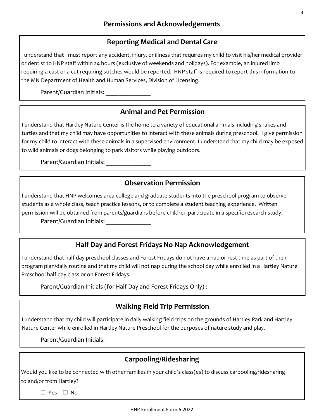#### **Reporting Medical and Dental Care**

I understand that I must report any accident, injury, or illness that requires my child to visit his/her medical provider or dentist to HNP staff within 24 hours (exclusive of weekends and holidays). For example, an injured limb requiring a cast or a cut requiring stitches would be reported. HNP staff is required to report this information to the MN Department of Health and Human Services, Division of Licensing.

Parent/Guardian Initials: \_\_\_\_\_\_\_\_\_\_\_\_\_\_

#### **Animal and Pet Permission**

I understand that Hartley Nature Center is the home to a variety of educational animals including snakes and turtles and that my child may have opportunities to interact with these animals during preschool. I give permission for my child to interact with these animals in a supervised environment. I understand that my child may be exposed to wild animals or dogs belonging to park visitors while playing outdoors.

Parent/Guardian Initials: \_\_\_\_\_\_\_\_\_\_\_\_\_\_

#### **Observation Permission**

I understand that HNP welcomes area college and graduate students into the preschool program to observe students as a whole class, teach practice lessons, or to complete a student teaching experience. Written permission will be obtained from parents/guardians before children participate in a specific research study. Parent/Guardian Initials: \_\_\_\_\_\_\_\_\_\_\_\_\_\_

#### **Half Day and Forest Fridays No Nap Acknowledgement**

I understand that half day preschool classes and Forest Fridays do not have a nap or rest time as part of their program plan/daily routine and that my child will not nap during the school day while enrolled in a Hartley Nature Preschool half day class or on Forest Fridays.

Parent/Guardian Initials (for Half Day and Forest Fridays Only):

### **Walking Field Trip Permission**

I understand that my child will participate in daily walking field trips on the grounds of Hartley Park and Hartley Nature Center while enrolled in Hartley Nature Preschool for the purposes of nature study and play.

Parent/Guardian Initials: \_\_\_\_\_\_\_\_\_\_\_\_\_\_

### **Carpooling/Ridesharing**

Would you like to be connected with other families in your child's class(es) to discuss carpooling/ridesharing to and/or from Hartley?

□ Yes □ No